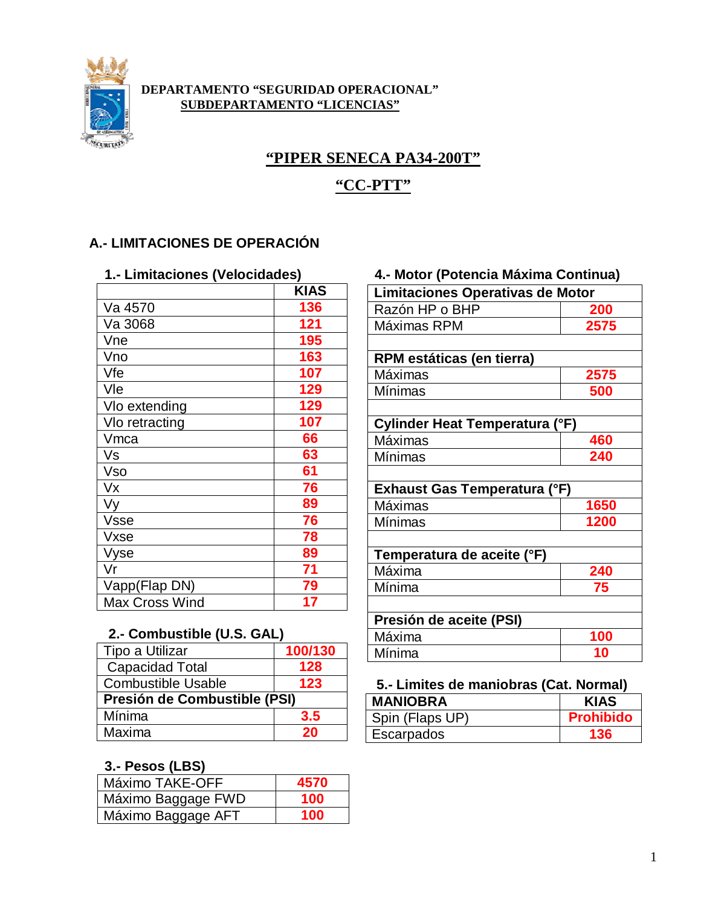

#### **DEPARTAMENTO "SEGURIDAD OPERACIONAL" SUBDEPARTAMENTO "LICENCIAS"**

# **"PIPER SENECA PA34-200T"**

## **"CC-PTT"**

## **A.- LIMITACIONES DE OPERACIÓN**

| 1.- Limitaciones (Velocidades) |             |  |
|--------------------------------|-------------|--|
|                                | <b>KIAS</b> |  |
| Va 4570                        | 136         |  |
| Va 3068                        | 121         |  |
| Vne                            | 195         |  |
| Vno                            | 163         |  |
| Vfe                            | 107         |  |
| Vle                            | 129         |  |
| Vlo extending                  | 129         |  |
| VIo retracting                 | 107         |  |
| Vmca                           | 66          |  |
| Vs                             | 63          |  |
| Vso                            | 61          |  |
| Vx                             | 76          |  |
| Vy                             | 89          |  |
| <b>Vsse</b>                    | 76          |  |
| Vxse                           | 78          |  |
| Vyse                           | 89          |  |
| Vr                             | 71          |  |
| Vapp(Flap DN)                  | 79          |  |
| <b>Max Cross Wind</b>          | 17          |  |

### **1.- Limitaciones (Velocidades) 4.- Motor (Potencia Máxima Continua)**

| <b>Limitaciones Operativas de Motor</b> |      |  |
|-----------------------------------------|------|--|
| Razón HP o BHP                          | 200  |  |
| Máximas RPM                             | 2575 |  |
|                                         |      |  |
| RPM estáticas (en tierra)               |      |  |
| Máximas                                 | 2575 |  |
| Mínimas                                 | 500  |  |
|                                         |      |  |
| Cylinder Heat Temperatura (°F)          |      |  |
| Máximas                                 | 460  |  |
| Mínimas                                 | 240  |  |
|                                         |      |  |
| Exhaust Gas Temperatura (°F)            |      |  |
| Máximas                                 | 1650 |  |
| Mínimas                                 | 1200 |  |
|                                         |      |  |
| Temperatura de aceite (°F)              |      |  |
| Máxima                                  | 240  |  |
| Mínima                                  | 75   |  |
|                                         |      |  |
| Presión de aceite (PSI)                 |      |  |
| Máxima                                  | 100  |  |
| Mínima                                  | 10   |  |

# **2.- Combustible (U.S. GAL)**

| Tipo a Utilizar              | 100/130 | Mínima                              | 10            |
|------------------------------|---------|-------------------------------------|---------------|
| Capacidad Total              | 128     |                                     |               |
| <b>Combustible Usable</b>    | 123     | 5.- Limites de maniobras (Cat. Norm |               |
| Presión de Combustible (PSI) |         | <b>MANIOBRA</b>                     | <b>KIA</b>    |
| Mínima                       | 3.5     | Spin (Flaps UP)                     | <b>Prohik</b> |
| Maxima                       | 20      | Escarpados                          | 136           |

### **3.- Pesos (LBS)**

| Máximo TAKE-OFF    | 4570 |
|--------------------|------|
| Máximo Baggage FWD | 100  |
| Máximo Baggage AFT | 100  |

#### **5.- Limites de maniobras (Cat. Normal)**

| <b>MANIOBRA</b> | <b>KIAS</b>      |
|-----------------|------------------|
| Spin (Flaps UP) | <b>Prohibido</b> |
| Escarpados      | 136              |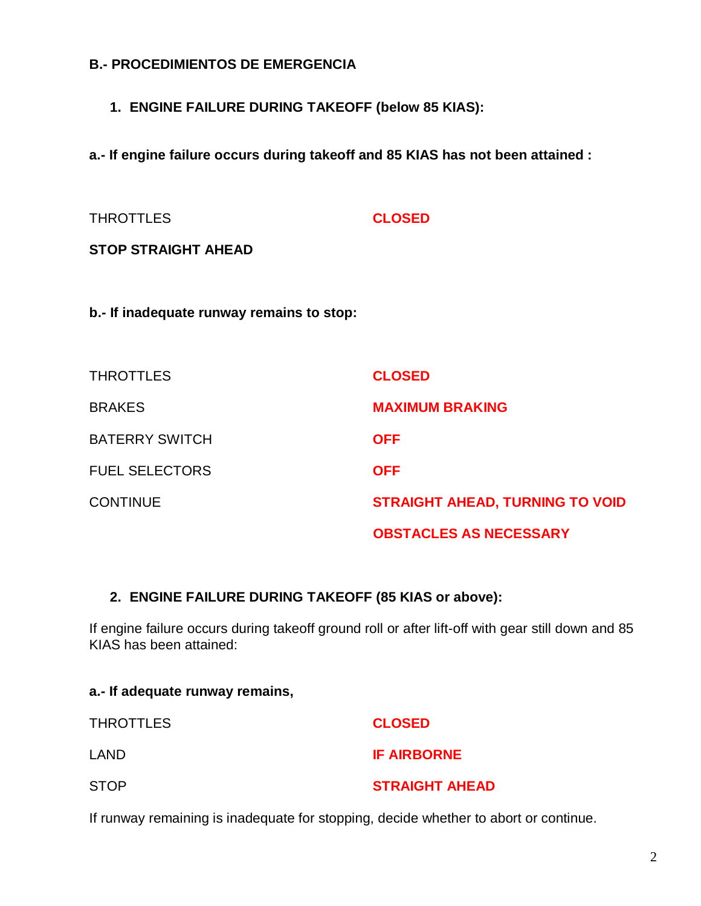### **B.- PROCEDIMIENTOS DE EMERGENCIA**

**1. ENGINE FAILURE DURING TAKEOFF (below 85 KIAS):**

**a.- If engine failure occurs during takeoff and 85 KIAS has not been attained :**

| <b>THROTTLES</b>                          | <b>CLOSED</b>                          |
|-------------------------------------------|----------------------------------------|
| <b>STOP STRAIGHT AHEAD</b>                |                                        |
|                                           |                                        |
| b.- If inadequate runway remains to stop: |                                        |
|                                           |                                        |
| <b>THROTTLES</b>                          | <b>CLOSED</b>                          |
| <b>BRAKES</b>                             | <b>MAXIMUM BRAKING</b>                 |
| <b>BATERRY SWITCH</b>                     | <b>OFF</b>                             |
| <b>FUEL SELECTORS</b>                     | <b>OFF</b>                             |
| <b>CONTINUE</b>                           | <b>STRAIGHT AHEAD, TURNING TO VOID</b> |
|                                           | <b>OBSTACLES AS NECESSARY</b>          |

### **2. ENGINE FAILURE DURING TAKEOFF (85 KIAS or above):**

If engine failure occurs during takeoff ground roll or after lift-off with gear still down and 85 KIAS has been attained:

| a.- If adequate runway remains, |                       |
|---------------------------------|-----------------------|
| THROTTLES                       | <b>CLOSED</b>         |
| LAND                            | <b>IF AIRBORNE</b>    |
| STOP                            | <b>STRAIGHT AHEAD</b> |

If runway remaining is inadequate for stopping, decide whether to abort or continue.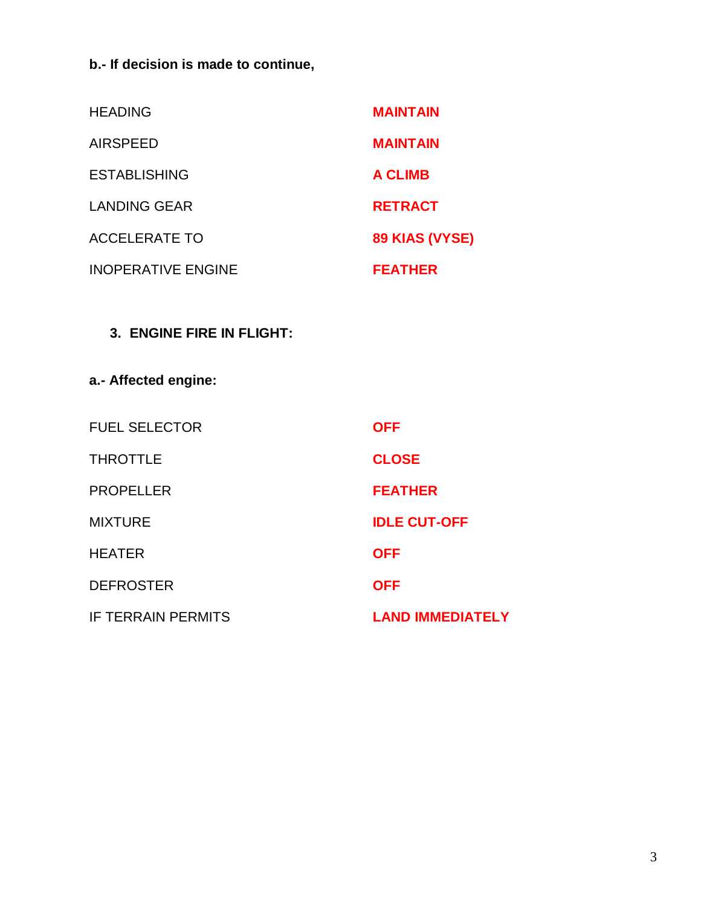**b.- If decision is made to continue,**

| <b>HEADING</b>            | <b>MAINTAIN</b> |
|---------------------------|-----------------|
| <b>AIRSPEED</b>           | <b>MAINTAIN</b> |
| <b>ESTABLISHING</b>       | <b>A CLIMB</b>  |
| <b>LANDING GEAR</b>       | <b>RETRACT</b>  |
| ACCELERATE TO             | 89 KIAS (VYSE)  |
| <b>INOPERATIVE ENGINE</b> | <b>FEATHER</b>  |

## **3. ENGINE FIRE IN FLIGHT:**

**a.- Affected engine:**

| <b>FUEL SELECTOR</b>      | <b>OFF</b>              |
|---------------------------|-------------------------|
| <b>THROTTLE</b>           | <b>CLOSE</b>            |
| <b>PROPELLER</b>          | <b>FEATHER</b>          |
| <b>MIXTURE</b>            | <b>IDLE CUT-OFF</b>     |
| <b>HEATER</b>             | <b>OFF</b>              |
| <b>DEFROSTER</b>          | <b>OFF</b>              |
| <b>IF TERRAIN PERMITS</b> | <b>LAND IMMEDIATELY</b> |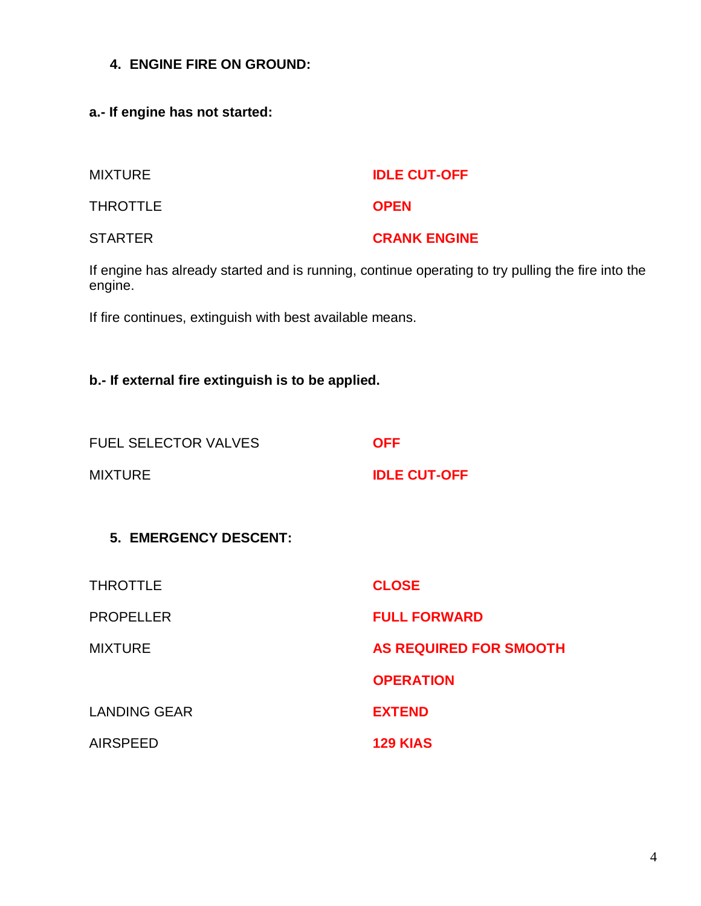- **4. ENGINE FIRE ON GROUND:**
- **a.- If engine has not started:**

| <b>MIXTURE</b> | <b>IDLE CUT-OFF</b> |
|----------------|---------------------|
| THROTTLE       | <b>OPEN</b>         |
| <b>STARTER</b> | <b>CRANK ENGINE</b> |

If engine has already started and is running, continue operating to try pulling the fire into the engine.

If fire continues, extinguish with best available means.

## **b.- If external fire extinguish is to be applied.**

| <b>FUEL SELECTOR VALVES</b> |  |
|-----------------------------|--|
|                             |  |

MIXTURE **IDLE CUT-OFF**

## **5. EMERGENCY DESCENT:**

| <b>THROTTLE</b>     | <b>CLOSE</b>                  |
|---------------------|-------------------------------|
| <b>PROPELLER</b>    | <b>FULL FORWARD</b>           |
| <b>MIXTURE</b>      | <b>AS REQUIRED FOR SMOOTH</b> |
|                     | <b>OPERATION</b>              |
| <b>LANDING GEAR</b> | <b>EXTEND</b>                 |
| <b>AIRSPEED</b>     | <b>129 KIAS</b>               |